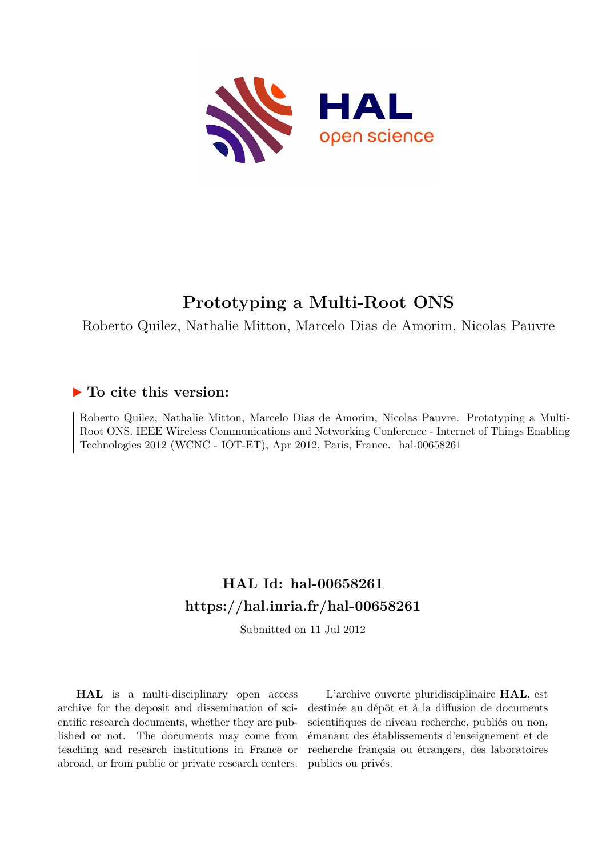

## **Prototyping a Multi-Root ONS**

Roberto Quilez, Nathalie Mitton, Marcelo Dias de Amorim, Nicolas Pauvre

### **To cite this version:**

Roberto Quilez, Nathalie Mitton, Marcelo Dias de Amorim, Nicolas Pauvre. Prototyping a Multi-Root ONS. IEEE Wireless Communications and Networking Conference - Internet of Things Enabling Technologies 2012 (WCNC - IOT-ET), Apr 2012, Paris, France. hal-00658261

## **HAL Id: hal-00658261 <https://hal.inria.fr/hal-00658261>**

Submitted on 11 Jul 2012

**HAL** is a multi-disciplinary open access archive for the deposit and dissemination of scientific research documents, whether they are published or not. The documents may come from teaching and research institutions in France or abroad, or from public or private research centers.

L'archive ouverte pluridisciplinaire **HAL**, est destinée au dépôt et à la diffusion de documents scientifiques de niveau recherche, publiés ou non, émanant des établissements d'enseignement et de recherche français ou étrangers, des laboratoires publics ou privés.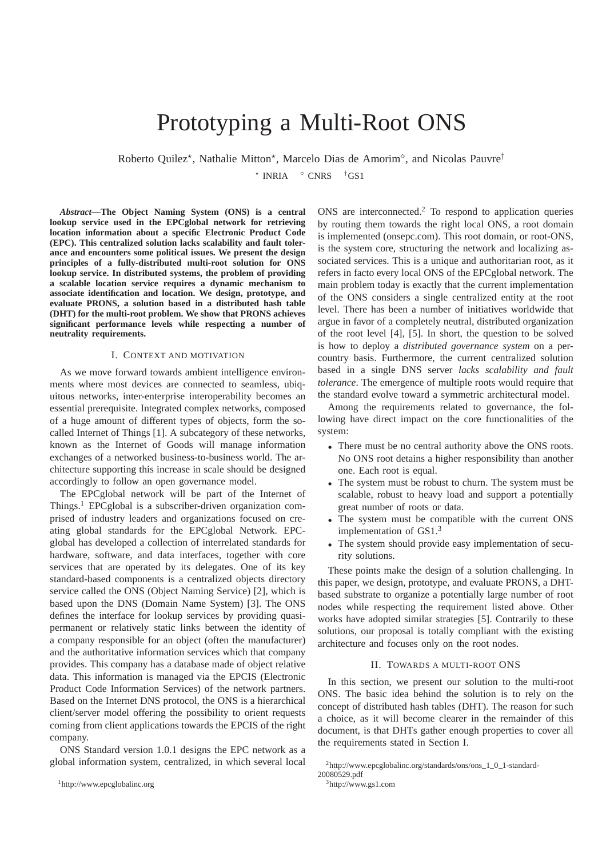# Prototyping a Multi-Root ONS

Roberto Quilez<sup>\*</sup>, Nathalie Mitton<sup>\*</sup>, Marcelo Dias de Amorim<sup>°</sup>, and Nicolas Pauvre<sup>†</sup>  $*$  INRIA  $\degree$  CNRS  $\degree$  GS1

*Abstract***—The Object Naming System (ONS) is a central lookup service used in the EPCglobal network for retrieving location information about a specific Electronic Product Code (EPC). This centralized solution lacks scalability and fault tolerance and encounters some political issues. We present the design principles of a fully-distributed multi-root solution for ONS lookup service. In distributed systems, the problem of providing a scalable location service requires a dynamic mechanism to associate identification and location. We design, prototype, and evaluate PRONS, a solution based in a distributed hash table (DHT) for the multi-root problem. We show that PRONS achieves significant performance levels while respecting a number of neutrality requirements.**

#### I. CONTEXT AND MOTIVATION

As we move forward towards ambient intelligence environments where most devices are connected to seamless, ubiquitous networks, inter-enterprise interoperability becomes an essential prerequisite. Integrated complex networks, composed of a huge amount of different types of objects, form the socalled Internet of Things [1]. A subcategory of these networks, known as the Internet of Goods will manage information exchanges of a networked business-to-business world. The architecture supporting this increase in scale should be designed accordingly to follow an open governance model.

The EPCglobal network will be part of the Internet of Things.<sup>1</sup> EPCglobal is a subscriber-driven organization comprised of industry leaders and organizations focused on creating global standards for the EPCglobal Network. EPCglobal has developed a collection of interrelated standards for hardware, software, and data interfaces, together with core services that are operated by its delegates. One of its key standard-based components is a centralized objects directory service called the ONS (Object Naming Service) [2], which is based upon the DNS (Domain Name System) [3]. The ONS defines the interface for lookup services by providing quasipermanent or relatively static links between the identity of a company responsible for an object (often the manufacturer) and the authoritative information services which that company provides. This company has a database made of object relative data. This information is managed via the EPCIS (Electronic Product Code Information Services) of the network partners. Based on the Internet DNS protocol, the ONS is a hierarchical client/server model offering the possibility to orient requests coming from client applications towards the EPCIS of the right company.

ONS Standard version 1.0.1 designs the EPC network as a global information system, centralized, in which several local ONS are interconnected.<sup>2</sup> To respond to application queries by routing them towards the right local ONS, a root domain is implemented (onsepc.com). This root domain, or root-ONS, is the system core, structuring the network and localizing associated services. This is a unique and authoritarian root, as it refers in facto every local ONS of the EPCglobal network. The main problem today is exactly that the current implementation of the ONS considers a single centralized entity at the root level. There has been a number of initiatives worldwide that argue in favor of a completely neutral, distributed organization of the root level [4], [5]. In short, the question to be solved is how to deploy a *distributed governance system* on a percountry basis. Furthermore, the current centralized solution based in a single DNS server *lacks scalability and fault tolerance*. The emergence of multiple roots would require that the standard evolve toward a symmetric architectural model.

Among the requirements related to governance, the following have direct impact on the core functionalities of the system:

- There must be no central authority above the ONS roots. No ONS root detains a higher responsibility than another one. Each root is equal.
- The system must be robust to churn. The system must be scalable, robust to heavy load and support a potentially great number of roots or data.
- The system must be compatible with the current ONS implementation of GS1.<sup>3</sup>
- The system should provide easy implementation of security solutions.

These points make the design of a solution challenging. In this paper, we design, prototype, and evaluate PRONS, a DHTbased substrate to organize a potentially large number of root nodes while respecting the requirement listed above. Other works have adopted similar strategies [5]. Contrarily to these solutions, our proposal is totally compliant with the existing architecture and focuses only on the root nodes.

#### II. TOWARDS A MULTI-ROOT ONS

In this section, we present our solution to the multi-root ONS. The basic idea behind the solution is to rely on the concept of distributed hash tables (DHT). The reason for such a choice, as it will become clearer in the remainder of this document, is that DHTs gather enough properties to cover all the requirements stated in Section I.

 $^{2}$ http://www.epcglobalinc.org/standards/ons/ons  $1_0$  1-standard-20080529.pdf

<sup>3</sup>http://www.gs1.com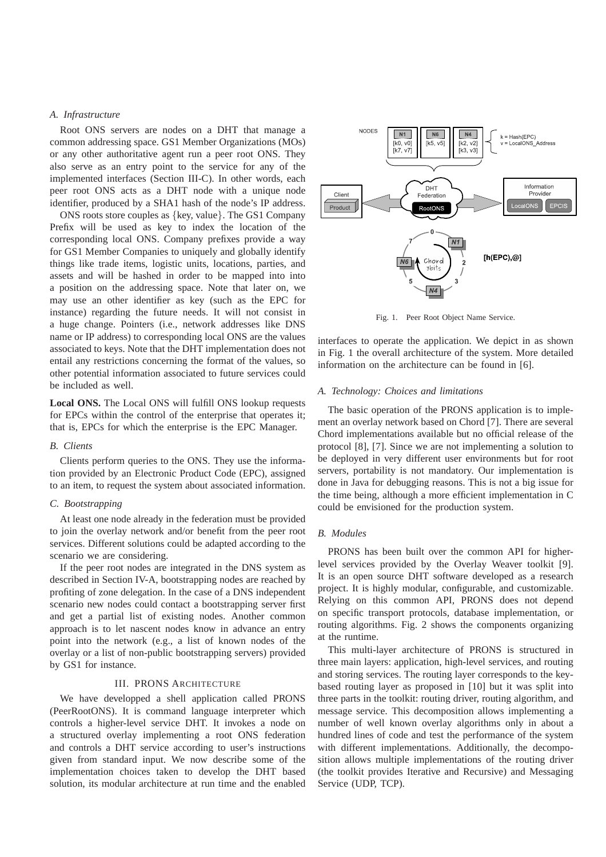#### *A. Infrastructure*

Root ONS servers are nodes on a DHT that manage a common addressing space. GS1 Member Organizations (MOs) or any other authoritative agent run a peer root ONS. They also serve as an entry point to the service for any of the implemented interfaces (Section III-C). In other words, each peer root ONS acts as a DHT node with a unique node identifier, produced by a SHA1 hash of the node's IP address.

ONS roots store couples as {key, value}. The GS1 Company Prefix will be used as key to index the location of the corresponding local ONS. Company prefixes provide a way for GS1 Member Companies to uniquely and globally identify things like trade items, logistic units, locations, parties, and assets and will be hashed in order to be mapped into into a position on the addressing space. Note that later on, we may use an other identifier as key (such as the EPC for instance) regarding the future needs. It will not consist in a huge change. Pointers (i.e., network addresses like DNS name or IP address) to corresponding local ONS are the values associated to keys. Note that the DHT implementation does not entail any restrictions concerning the format of the values, so other potential information associated to future services could be included as well.

**Local ONS.** The Local ONS will fulfill ONS lookup requests for EPCs within the control of the enterprise that operates it; that is, EPCs for which the enterprise is the EPC Manager.

#### *B. Clients*

Clients perform queries to the ONS. They use the information provided by an Electronic Product Code (EPC), assigned to an item, to request the system about associated information.

#### *C. Bootstrapping*

At least one node already in the federation must be provided to join the overlay network and/or benefit from the peer root services. Different solutions could be adapted according to the scenario we are considering.

If the peer root nodes are integrated in the DNS system as described in Section IV-A, bootstrapping nodes are reached by profiting of zone delegation. In the case of a DNS independent scenario new nodes could contact a bootstrapping server first and get a partial list of existing nodes. Another common approach is to let nascent nodes know in advance an entry point into the network (e.g., a list of known nodes of the overlay or a list of non-public bootstrapping servers) provided by GS1 for instance.

#### III. PRONS ARCHITECTURE

We have developped a shell application called PRONS (PeerRootONS). It is command language interpreter which controls a higher-level service DHT. It invokes a node on a structured overlay implementing a root ONS federation and controls a DHT service according to user's instructions given from standard input. We now describe some of the implementation choices taken to develop the DHT based solution, its modular architecture at run time and the enabled



Fig. 1. Peer Root Object Name Service.

interfaces to operate the application. We depict in as shown in Fig. 1 the overall architecture of the system. More detailed information on the architecture can be found in [6].

#### *A. Technology: Choices and limitations*

The basic operation of the PRONS application is to implement an overlay network based on Chord [7]. There are several Chord implementations available but no official release of the protocol [8], [7]. Since we are not implementing a solution to be deployed in very different user environments but for root servers, portability is not mandatory. Our implementation is done in Java for debugging reasons. This is not a big issue for the time being, although a more efficient implementation in C could be envisioned for the production system.

#### *B. Modules*

PRONS has been built over the common API for higherlevel services provided by the Overlay Weaver toolkit [9]. It is an open source DHT software developed as a research project. It is highly modular, configurable, and customizable. Relying on this common API, PRONS does not depend on specific transport protocols, database implementation, or routing algorithms. Fig. 2 shows the components organizing at the runtime.

This multi-layer architecture of PRONS is structured in three main layers: application, high-level services, and routing and storing services. The routing layer corresponds to the keybased routing layer as proposed in [10] but it was split into three parts in the toolkit: routing driver, routing algorithm, and message service. This decomposition allows implementing a number of well known overlay algorithms only in about a hundred lines of code and test the performance of the system with different implementations. Additionally, the decomposition allows multiple implementations of the routing driver (the toolkit provides Iterative and Recursive) and Messaging Service (UDP, TCP).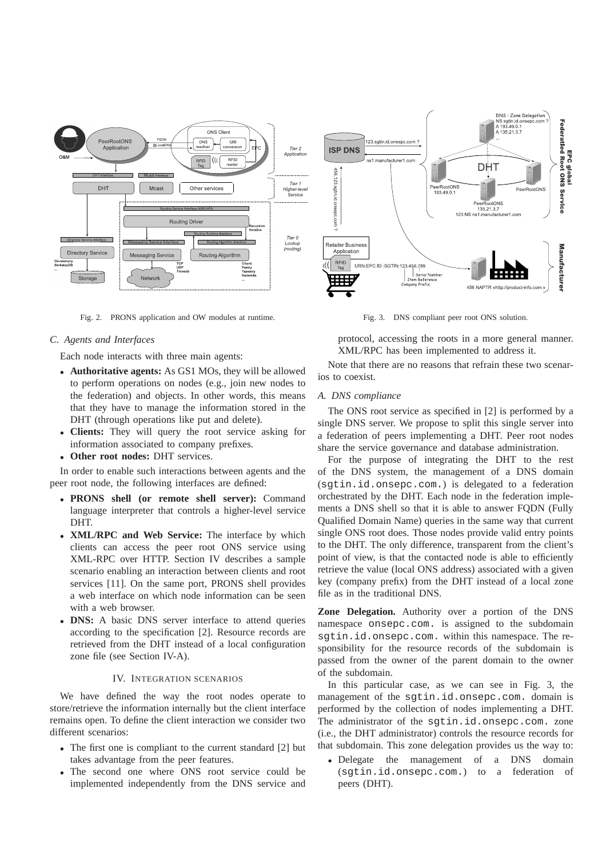

Fig. 2. PRONS application and OW modules at runtime.

#### *C. Agents and Interfaces*

Each node interacts with three main agents:

- **Authoritative agents:** As GS1 MOs, they will be allowed to perform operations on nodes (e.g., join new nodes to the federation) and objects. In other words, this means that they have to manage the information stored in the DHT (through operations like put and delete).
- **Clients:** They will query the root service asking for information associated to company prefixes.
- **Other root nodes: DHT services.**

In order to enable such interactions between agents and the peer root node, the following interfaces are defined:

- **PRONS shell (or remote shell server):** Command language interpreter that controls a higher-level service DHT.
- **XML/RPC and Web Service:** The interface by which clients can access the peer root ONS service using XML-RPC over HTTP. Section IV describes a sample scenario enabling an interaction between clients and root services [11]. On the same port, PRONS shell provides a web interface on which node information can be seen with a web browser.
- **DNS**: A basic DNS server interface to attend queries according to the specification [2]. Resource records are retrieved from the DHT instead of a local configuration zone file (see Section IV-A).

#### IV. INTEGRATION SCENARIOS

We have defined the way the root nodes operate to store/retrieve the information internally but the client interface remains open. To define the client interaction we consider two different scenarios:

- The first one is compliant to the current standard [2] but takes advantage from the peer features.
- The second one where ONS root service could be implemented independently from the DNS service and



Fig. 3. DNS compliant peer root ONS solution.

protocol, accessing the roots in a more general manner. XML/RPC has been implemented to address it.

Note that there are no reasons that refrain these two scenarios to coexist.

#### *A. DNS compliance*

The ONS root service as specified in [2] is performed by a single DNS server. We propose to split this single server into a federation of peers implementing a DHT. Peer root nodes share the service governance and database administration.

For the purpose of integrating the DHT to the rest of the DNS system, the management of a DNS domain (sgtin.id.onsepc.com.) is delegated to a federation orchestrated by the DHT. Each node in the federation implements a DNS shell so that it is able to answer FODN (Fully Qualified Domain Name) queries in the same way that current single ONS root does. Those nodes provide valid entry points to the DHT. The only difference, transparent from the client's point of view, is that the contacted node is able to efficiently retrieve the value (local ONS address) associated with a given key (company prefix) from the DHT instead of a local zone file as in the traditional DNS.

**Zone Delegation.** Authority over a portion of the DNS namespace onsepc.com. is assigned to the subdomain sgtin.id.onsepc.com. within this namespace. The responsibility for the resource records of the subdomain is passed from the owner of the parent domain to the owner of the subdomain.

In this particular case, as we can see in Fig. 3, the management of the sgtin.id.onsepc.com. domain is performed by the collection of nodes implementing a DHT. The administrator of the sgtin.id.onsepc.com. zone (i.e., the DHT administrator) controls the resource records for that subdomain. This zone delegation provides us the way to:

• Delegate the management of a DNS domain (sgtin.id.onsepc.com.) to a federation of peers (DHT).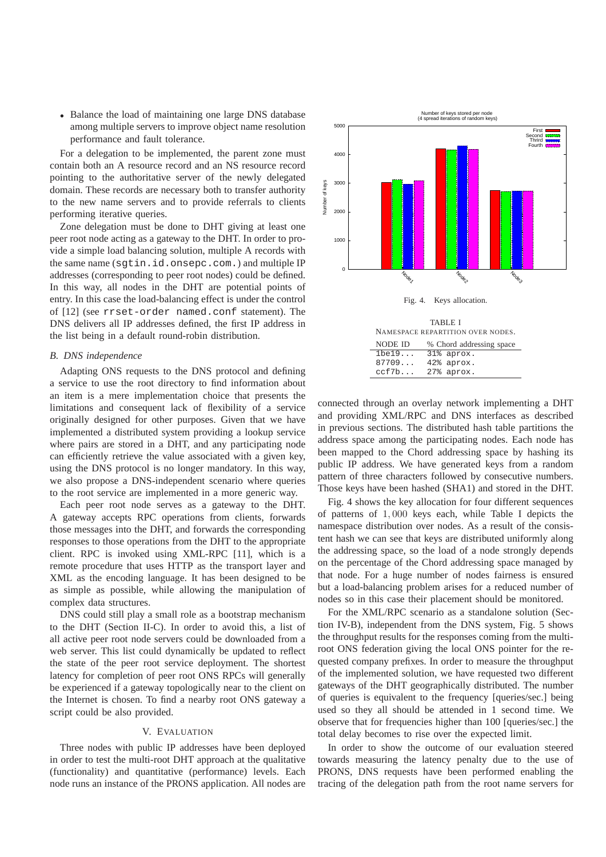• Balance the load of maintaining one large DNS database among multiple servers to improve object name resolution performance and fault tolerance.

For a delegation to be implemented, the parent zone must contain both an A resource record and an NS resource record pointing to the authoritative server of the newly delegated domain. These records are necessary both to transfer authority to the new name servers and to provide referrals to clients performing iterative queries.

Zone delegation must be done to DHT giving at least one peer root node acting as a gateway to the DHT. In order to provide a simple load balancing solution, multiple A records with the same name (sgtin.id.onsepc.com.) and multiple IP addresses (corresponding to peer root nodes) could be defined. In this way, all nodes in the DHT are potential points of entry. In this case the load-balancing effect is under the control of [12] (see rrset-order named.conf statement). The DNS delivers all IP addresses defined, the first IP address in the list being in a default round-robin distribution.

#### *B. DNS independence*

Adapting ONS requests to the DNS protocol and defining a service to use the root directory to find information about an item is a mere implementation choice that presents the limitations and consequent lack of flexibility of a service originally designed for other purposes. Given that we have implemented a distributed system providing a lookup service where pairs are stored in a DHT, and any participating node can efficiently retrieve the value associated with a given key, using the DNS protocol is no longer mandatory. In this way, we also propose a DNS-independent scenario where queries to the root service are implemented in a more generic way.

Each peer root node serves as a gateway to the DHT. A gateway accepts RPC operations from clients, forwards those messages into the DHT, and forwards the corresponding responses to those operations from the DHT to the appropriate client. RPC is invoked using XML-RPC [11], which is a remote procedure that uses HTTP as the transport layer and XML as the encoding language. It has been designed to be as simple as possible, while allowing the manipulation of complex data structures.

DNS could still play a small role as a bootstrap mechanism to the DHT (Section II-C). In order to avoid this, a list of all active peer root node servers could be downloaded from a web server. This list could dynamically be updated to reflect the state of the peer root service deployment. The shortest latency for completion of peer root ONS RPCs will generally be experienced if a gateway topologically near to the client on the Internet is chosen. To find a nearby root ONS gateway a script could be also provided.

#### V. EVALUATION

Three nodes with public IP addresses have been deployed in order to test the multi-root DHT approach at the qualitative (functionality) and quantitative (performance) levels. Each node runs an instance of the PRONS application. All nodes are



NAMESPACE REPARTITION OVER NODES. NODE ID % Chord addressing space<br>1be19... 31% aprox.  $31%$  aprox.

| 87709 | 42% aprox.             |
|-------|------------------------|
| ccf7b | $27\textdegree$ aprox. |

connected through an overlay network implementing a DHT and providing XML/RPC and DNS interfaces as described in previous sections. The distributed hash table partitions the address space among the participating nodes. Each node has been mapped to the Chord addressing space by hashing its public IP address. We have generated keys from a random pattern of three characters followed by consecutive numbers. Those keys have been hashed (SHA1) and stored in the DHT.

Fig. 4 shows the key allocation for four different sequences of patterns of <sup>1</sup>, <sup>000</sup> keys each, while Table I depicts the namespace distribution over nodes. As a result of the consistent hash we can see that keys are distributed uniformly along the addressing space, so the load of a node strongly depends on the percentage of the Chord addressing space managed by that node. For a huge number of nodes fairness is ensured but a load-balancing problem arises for a reduced number of nodes so in this case their placement should be monitored.

For the XML/RPC scenario as a standalone solution (Section IV-B), independent from the DNS system, Fig. 5 shows the throughput results for the responses coming from the multiroot ONS federation giving the local ONS pointer for the requested company prefixes. In order to measure the throughput of the implemented solution, we have requested two different gateways of the DHT geographically distributed. The number of queries is equivalent to the frequency [queries/sec.] being used so they all should be attended in 1 second time. We observe that for frequencies higher than 100 [queries/sec.] the total delay becomes to rise over the expected limit.

In order to show the outcome of our evaluation steered towards measuring the latency penalty due to the use of PRONS, DNS requests have been performed enabling the tracing of the delegation path from the root name servers for